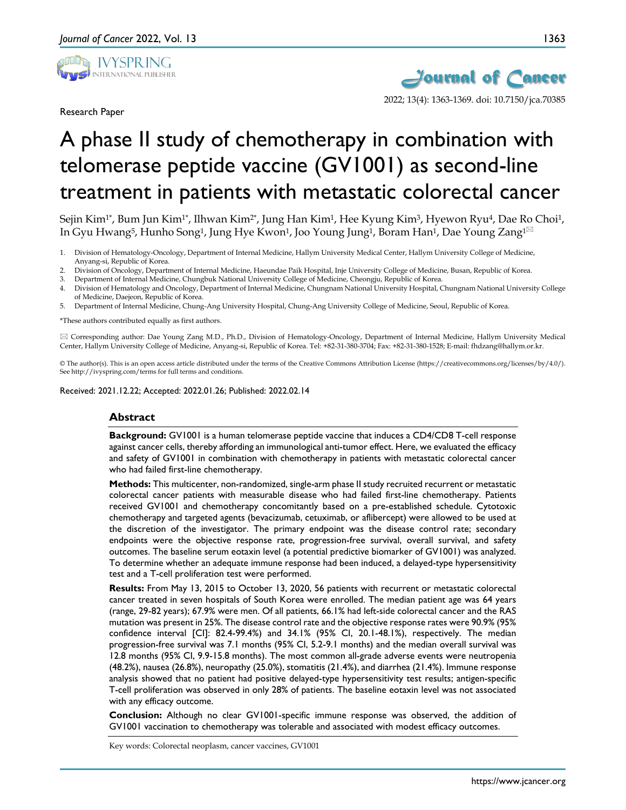

Research Paper



# A phase II study of chemotherapy in combination with telomerase peptide vaccine (GV1001) as second-line treatment in patients with metastatic colorectal cancer

Sejin Kim<sup>1\*</sup>, Bum Jun Kim<sup>1\*</sup>, Ilhwan Kim<sup>2\*</sup>, Jung Han Kim<sup>1</sup>, Hee Kyung Kim<sup>3</sup>, Hyewon Ryu<sup>4</sup>, Dae Ro Choi<sup>1</sup>, In Gyu Hwang<sup>5</sup>, Hunho Song<sup>1</sup>, Jung Hye Kwon<sup>1</sup>, Joo Young Jung<sup>1</sup>, Boram Han<sup>1</sup>, Dae Young Zang<sup>1⊠</sup>

- 1. Division of Hematology-Oncology, Department of Internal Medicine, Hallym University Medical Center, Hallym University College of Medicine, Anyang-si, Republic of Korea.
- 2. Division of Oncology, Department of Internal Medicine, Haeundae Paik Hospital, Inje University College of Medicine, Busan, Republic of Korea.
- 3. Department of Internal Medicine, Chungbuk National University College of Medicine, Cheongju, Republic of Korea.
- 4. Division of Hematology and Oncology, Department of Internal Medicine, Chungnam National University Hospital, Chungnam National University College of Medicine, Daejeon, Republic of Korea.
- 5. Department of Internal Medicine, Chung-Ang University Hospital, Chung-Ang University College of Medicine, Seoul, Republic of Korea.

\*These authors contributed equally as first authors.

 Corresponding author: Dae Young Zang M.D., Ph.D., Division of Hematology-Oncology, Department of Internal Medicine, Hallym University Medical Center, Hallym University College of Medicine, Anyang-si, Republic of Korea. Tel: +82-31-380-3704; Fax: +82-31-380-1528; E-mail: fhdzang@hallym.or.kr.

© The author(s). This is an open access article distributed under the terms of the Creative Commons Attribution License (https://creativecommons.org/licenses/by/4.0/). See http://ivyspring.com/terms for full terms and conditions.

Received: 2021.12.22; Accepted: 2022.01.26; Published: 2022.02.14

#### **Abstract**

**Background:** GV1001 is a human telomerase peptide vaccine that induces a CD4/CD8 T-cell response against cancer cells, thereby affording an immunological anti-tumor effect. Here, we evaluated the efficacy and safety of GV1001 in combination with chemotherapy in patients with metastatic colorectal cancer who had failed first-line chemotherapy.

**Methods:** This multicenter, non-randomized, single-arm phase II study recruited recurrent or metastatic colorectal cancer patients with measurable disease who had failed first-line chemotherapy. Patients received GV1001 and chemotherapy concomitantly based on a pre-established schedule. Cytotoxic chemotherapy and targeted agents (bevacizumab, cetuximab, or aflibercept) were allowed to be used at the discretion of the investigator. The primary endpoint was the disease control rate; secondary endpoints were the objective response rate, progression-free survival, overall survival, and safety outcomes. The baseline serum eotaxin level (a potential predictive biomarker of GV1001) was analyzed. To determine whether an adequate immune response had been induced, a delayed-type hypersensitivity test and a T-cell proliferation test were performed.

**Results:** From May 13, 2015 to October 13, 2020, 56 patients with recurrent or metastatic colorectal cancer treated in seven hospitals of South Korea were enrolled. The median patient age was 64 years (range, 29-82 years); 67.9% were men. Of all patients, 66.1% had left-side colorectal cancer and the RAS mutation was present in 25%. The disease control rate and the objective response rates were 90.9% (95% confidence interval [CI]: 82.4-99.4%) and 34.1% (95% CI, 20.1-48.1%), respectively. The median progression-free survival was 7.1 months (95% CI, 5.2-9.1 months) and the median overall survival was 12.8 months (95% CI, 9.9-15.8 months). The most common all-grade adverse events were neutropenia (48.2%), nausea (26.8%), neuropathy (25.0%), stomatitis (21.4%), and diarrhea (21.4%). Immune response analysis showed that no patient had positive delayed-type hypersensitivity test results; antigen-specific T-cell proliferation was observed in only 28% of patients. The baseline eotaxin level was not associated with any efficacy outcome.

**Conclusion:** Although no clear GV1001-specific immune response was observed, the addition of GV1001 vaccination to chemotherapy was tolerable and associated with modest efficacy outcomes.

Key words: Colorectal neoplasm, cancer vaccines, GV1001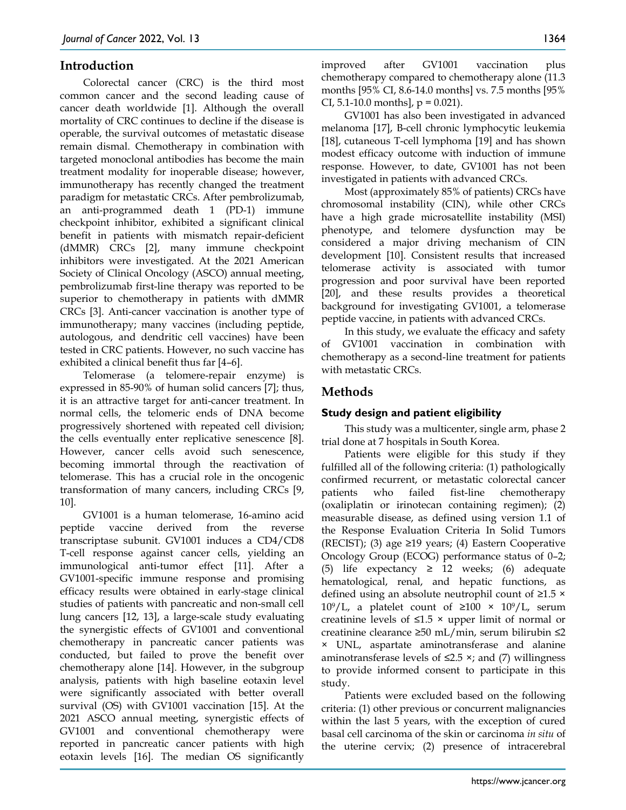## **Introduction**

Colorectal cancer (CRC) is the third most common cancer and the second leading cause of cancer death worldwide [1]. Although the overall mortality of CRC continues to decline if the disease is operable, the survival outcomes of metastatic disease remain dismal. Chemotherapy in combination with targeted monoclonal antibodies has become the main treatment modality for inoperable disease; however, immunotherapy has recently changed the treatment paradigm for metastatic CRCs. After pembrolizumab, an anti-programmed death 1 (PD-1) immune checkpoint inhibitor, exhibited a significant clinical benefit in patients with mismatch repair-deficient (dMMR) CRCs [2], many immune checkpoint inhibitors were investigated. At the 2021 American Society of Clinical Oncology (ASCO) annual meeting, pembrolizumab first-line therapy was reported to be superior to chemotherapy in patients with dMMR CRCs [3]. Anti-cancer vaccination is another type of immunotherapy; many vaccines (including peptide, autologous, and dendritic cell vaccines) have been tested in CRC patients. However, no such vaccine has exhibited a clinical benefit thus far [4–6].

Telomerase (a telomere-repair enzyme) is expressed in 85-90% of human solid cancers [7]; thus, it is an attractive target for anti-cancer treatment. In normal cells, the telomeric ends of DNA become progressively shortened with repeated cell division; the cells eventually enter replicative senescence [8]. However, cancer cells avoid such senescence, becoming immortal through the reactivation of telomerase. This has a crucial role in the oncogenic transformation of many cancers, including CRCs [9, 10].

GV1001 is a human telomerase, 16-amino acid peptide vaccine derived from the reverse transcriptase subunit. GV1001 induces a CD4/CD8 T-cell response against cancer cells, yielding an immunological anti-tumor effect [11]. After a GV1001-specific immune response and promising efficacy results were obtained in early-stage clinical studies of patients with pancreatic and non-small cell lung cancers [12, 13], a large-scale study evaluating the synergistic effects of GV1001 and conventional chemotherapy in pancreatic cancer patients was conducted, but failed to prove the benefit over chemotherapy alone [14]. However, in the subgroup analysis, patients with high baseline eotaxin level were significantly associated with better overall survival (OS) with GV1001 vaccination [15]. At the 2021 ASCO annual meeting, synergistic effects of GV1001 and conventional chemotherapy were reported in pancreatic cancer patients with high eotaxin levels [16]. The median OS significantly

improved after GV1001 vaccination plus chemotherapy compared to chemotherapy alone (11.3 months [95% CI, 8.6-14.0 months] vs. 7.5 months [95% CI, 5.1-10.0 months],  $p = 0.021$ .

GV1001 has also been investigated in advanced melanoma [17], B-cell chronic lymphocytic leukemia [18], cutaneous T-cell lymphoma [19] and has shown modest efficacy outcome with induction of immune response. However, to date, GV1001 has not been investigated in patients with advanced CRCs.

Most (approximately 85% of patients) CRCs have chromosomal instability (CIN), while other CRCs have a high grade microsatellite instability (MSI) phenotype, and telomere dysfunction may be considered a major driving mechanism of CIN development [10]. Consistent results that increased telomerase activity is associated with tumor progression and poor survival have been reported [20], and these results provides a theoretical background for investigating GV1001, a telomerase peptide vaccine, in patients with advanced CRCs.

In this study, we evaluate the efficacy and safety of GV1001 vaccination in combination with chemotherapy as a second-line treatment for patients with metastatic CRCs.

# **Methods**

## **Study design and patient eligibility**

This study was a multicenter, single arm, phase 2 trial done at 7 hospitals in South Korea.

Patients were eligible for this study if they fulfilled all of the following criteria: (1) pathologically confirmed recurrent, or metastatic colorectal cancer patients who failed fist-line chemotherapy (oxaliplatin or irinotecan containing regimen); (2) measurable disease, as defined using version 1.1 of the Response Evaluation Criteria In Solid Tumors (RECIST); (3) age ≥19 years; (4) Eastern Cooperative Oncology Group (ECOG) performance status of 0–2; (5) life expectancy  $\geq$  12 weeks; (6) adequate hematological, renal, and hepatic functions, as defined using an absolute neutrophil count of ≥1.5 × 10<sup>9</sup>/L, a platelet count of ≥100 × 10<sup>9</sup>/L, serum creatinine levels of  $\leq 1.5$  × upper limit of normal or creatinine clearance ≥50 mL/min, serum bilirubin ≤2 × UNL, aspartate aminotransferase and alanine aminotransferase levels of  $\leq$ 2.5  $\times$ ; and (7) willingness to provide informed consent to participate in this study.

Patients were excluded based on the following criteria: (1) other previous or concurrent malignancies within the last 5 years, with the exception of cured basal cell carcinoma of the skin or carcinoma *in situ* of the uterine cervix; (2) presence of intracerebral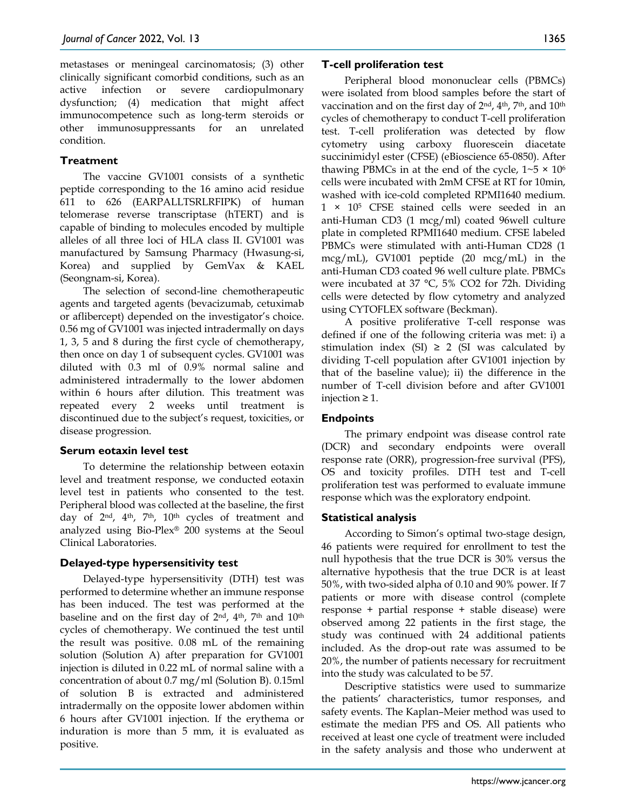metastases or meningeal carcinomatosis; (3) other clinically significant comorbid conditions, such as an active infection or severe cardiopulmonary dysfunction; (4) medication that might affect immunocompetence such as long-term steroids or other immunosuppressants for an unrelated condition.

## **Treatment**

The vaccine GV1001 consists of a synthetic peptide corresponding to the 16 amino acid residue 611 to 626 (EARPALLTSRLRFIPK) of human telomerase reverse transcriptase (hTERT) and is capable of binding to molecules encoded by multiple alleles of all three loci of HLA class II. GV1001 was manufactured by Samsung Pharmacy (Hwasung-si, Korea) and supplied by GemVax & KAEL (Seongnam-si, Korea).

The selection of second-line chemotherapeutic agents and targeted agents (bevacizumab, cetuximab or aflibercept) depended on the investigator's choice. 0.56 mg of GV1001 was injected intradermally on days 1, 3, 5 and 8 during the first cycle of chemotherapy, then once on day 1 of subsequent cycles. GV1001 was diluted with 0.3 ml of 0.9% normal saline and administered intradermally to the lower abdomen within 6 hours after dilution. This treatment was repeated every 2 weeks until treatment is discontinued due to the subject's request, toxicities, or disease progression.

## **Serum eotaxin level test**

To determine the relationship between eotaxin level and treatment response, we conducted eotaxin level test in patients who consented to the test. Peripheral blood was collected at the baseline, the first day of 2<sup>nd</sup>, 4<sup>th</sup>, 7<sup>th</sup>, 10<sup>th</sup> cycles of treatment and analyzed using Bio-Plex® 200 systems at the Seoul Clinical Laboratories.

# **Delayed-type hypersensitivity test**

Delayed-type hypersensitivity (DTH) test was performed to determine whether an immune response has been induced. The test was performed at the baseline and on the first day of  $2<sup>nd</sup>$ ,  $4<sup>th</sup>$ ,  $7<sup>th</sup>$  and  $10<sup>th</sup>$ cycles of chemotherapy. We continued the test until the result was positive. 0.08 mL of the remaining solution (Solution A) after preparation for GV1001 injection is diluted in 0.22 mL of normal saline with a concentration of about 0.7 mg/ml (Solution B). 0.15ml of solution B is extracted and administered intradermally on the opposite lower abdomen within 6 hours after GV1001 injection. If the erythema or induration is more than 5 mm, it is evaluated as positive.

## **T-cell proliferation test**

Peripheral blood mononuclear cells (PBMCs) were isolated from blood samples before the start of vaccination and on the first day of 2<sup>nd</sup>, 4<sup>th</sup>, 7<sup>th</sup>, and 10<sup>th</sup> cycles of chemotherapy to conduct T-cell proliferation test. T-cell proliferation was detected by flow cytometry using carboxy fluorescein diacetate succinimidyl ester (CFSE) (eBioscience 65-0850). After thawing PBMCs in at the end of the cycle,  $1~5 \times 10^{6}$ cells were incubated with 2mM CFSE at RT for 10min, washed with ice-cold completed RPMI1640 medium. 1 × 10<sup>5</sup> CFSE stained cells were seeded in an anti-Human CD3 (1 mcg/ml) coated 96well culture plate in completed RPMI1640 medium. CFSE labeled PBMCs were stimulated with anti-Human CD28 (1 mcg/mL), GV1001 peptide (20 mcg/mL) in the anti-Human CD3 coated 96 well culture plate. PBMCs were incubated at 37 °C, 5% CO2 for 72h. Dividing cells were detected by flow cytometry and analyzed using CYTOFLEX software (Beckman).

A positive proliferative T-cell response was defined if one of the following criteria was met: i) a stimulation index (SI)  $\geq$  2 (SI was calculated by dividing T-cell population after GV1001 injection by that of the baseline value); ii) the difference in the number of T-cell division before and after GV1001 injection ≥ 1.

# **Endpoints**

The primary endpoint was disease control rate (DCR) and secondary endpoints were overall response rate (ORR), progression-free survival (PFS), OS and toxicity profiles. DTH test and T-cell proliferation test was performed to evaluate immune response which was the exploratory endpoint.

## **Statistical analysis**

According to Simon's optimal two-stage design, 46 patients were required for enrollment to test the null hypothesis that the true DCR is 30% versus the alternative hypothesis that the true DCR is at least 50%, with two-sided alpha of 0.10 and 90% power. If 7 patients or more with disease control (complete response + partial response + stable disease) were observed among 22 patients in the first stage, the study was continued with 24 additional patients included. As the drop-out rate was assumed to be 20%, the number of patients necessary for recruitment into the study was calculated to be 57.

Descriptive statistics were used to summarize the patients' characteristics, tumor responses, and safety events. The Kaplan–Meier method was used to estimate the median PFS and OS. All patients who received at least one cycle of treatment were included in the safety analysis and those who underwent at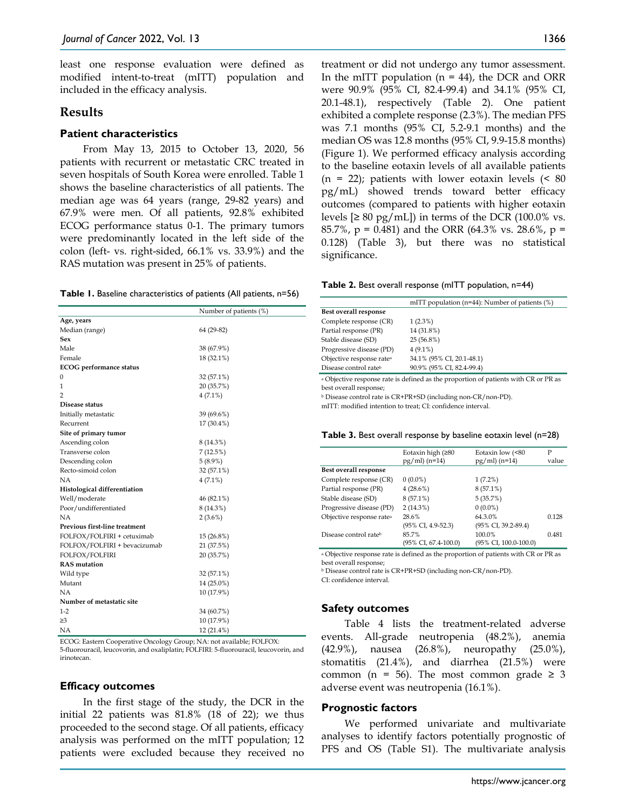least one response evaluation were defined as modified intent-to-treat (mITT) population and included in the efficacy analysis.

### **Results**

#### **Patient characteristics**

From May 13, 2015 to October 13, 2020, 56 patients with recurrent or metastatic CRC treated in seven hospitals of South Korea were enrolled. Table 1 shows the baseline characteristics of all patients. The median age was 64 years (range, 29-82 years) and 67.9% were men. Of all patients, 92.8% exhibited ECOG performance status 0-1. The primary tumors were predominantly located in the left side of the colon (left- vs. right-sided, 66.1% vs. 33.9%) and the RAS mutation was present in 25% of patients.

|  |  | Table 1. Baseline characteristics of patients (All patients, n=56) |  |  |  |  |  |
|--|--|--------------------------------------------------------------------|--|--|--|--|--|
|--|--|--------------------------------------------------------------------|--|--|--|--|--|

|                                | Number of patients (%) |  |  |
|--------------------------------|------------------------|--|--|
| Age, years                     |                        |  |  |
| Median (range)                 | 64 (29-82)             |  |  |
| Sex                            |                        |  |  |
| Male                           | 38 (67.9%)             |  |  |
| Female                         | 18 (32.1%)             |  |  |
| <b>ECOG</b> performance status |                        |  |  |
| 0                              | 32 (57.1%)             |  |  |
| 1                              | 20 (35.7%)             |  |  |
| $\overline{2}$                 | $4(7.1\%)$             |  |  |
| Disease status                 |                        |  |  |
| Initially metastatic           | 39 (69.6%)             |  |  |
| Recurrent                      | 17 (30.4%)             |  |  |
| Site of primary tumor          |                        |  |  |
| Ascending colon                | 8 (14.3%)              |  |  |
| Transverse colon               | 7(12.5%)               |  |  |
| Descending colon               | $5(8.9\%)$             |  |  |
| Recto-simoid colon             | 32 (57.1%)             |  |  |
| NΑ                             | $4(7.1\%)$             |  |  |
| Histological differentiation   |                        |  |  |
| Well/moderate                  | 46 (82.1%)             |  |  |
| Poor/undifferentiated          | 8 (14.3%)              |  |  |
| NA                             | $2(3.6\%)$             |  |  |
| Previous first-line treatment  |                        |  |  |
| FOLFOX/FOLFIRI + cetuximab     | 15 (26.8%)             |  |  |
| FOLFOX/FOLFIRI + bevacizumab   | 21 (37.5%)             |  |  |
| FOLFOX/FOLFIRI                 | 20 (35.7%)             |  |  |
| <b>RAS</b> mutation            |                        |  |  |
| Wild type                      | 32 (57.1%)             |  |  |
| Mutant                         | 14 (25.0%)             |  |  |
| NA                             | 10 (17.9%)             |  |  |
| Number of metastatic site      |                        |  |  |
| $1-2$                          | 34 (60.7%)             |  |  |
| $\geq$ 3                       | 10 (17.9%)             |  |  |
| NΑ                             | 12 (21.4%)             |  |  |

ECOG: Eastern Cooperative Oncology Group; NA: not available; FOLFOX: 5-fluorouracil, leucovorin, and oxaliplatin; FOLFIRI: 5-fluorouracil, leucovorin, and irinotecan.

#### **Efficacy outcomes**

In the first stage of the study, the DCR in the initial 22 patients was 81.8% (18 of 22); we thus proceeded to the second stage. Of all patients, efficacy analysis was performed on the mITT population; 12 patients were excluded because they received no treatment or did not undergo any tumor assessment. In the mITT population  $(n = 44)$ , the DCR and ORR were 90.9% (95% CI, 82.4-99.4) and 34.1% (95% CI, 20.1-48.1), respectively (Table 2). One patient exhibited a complete response (2.3%). The median PFS was 7.1 months (95% CI, 5.2-9.1 months) and the median OS was 12.8 months (95% CI, 9.9-15.8 months) (Figure 1). We performed efficacy analysis according to the baseline eotaxin levels of all available patients  $(n = 22)$ ; patients with lower eotaxin levels  $(580)$ pg/mL) showed trends toward better efficacy outcomes (compared to patients with higher eotaxin levels  $[\geq 80 \text{ pg/mL}]$  in terms of the DCR (100.0% vs. 85.7%,  $p = 0.481$ ) and the ORR (64.3% vs. 28.6%,  $p =$ 0.128) (Table 3), but there was no statistical significance.

| <b>Table 2.</b> Best overall response (mITT population, n=44) |  |  |  |
|---------------------------------------------------------------|--|--|--|
|---------------------------------------------------------------|--|--|--|

|                                                                                                               | mITT population ( $n=44$ ): Number of patients (%) |  |  |
|---------------------------------------------------------------------------------------------------------------|----------------------------------------------------|--|--|
| Best overall response                                                                                         |                                                    |  |  |
| Complete response (CR)                                                                                        | $1(2.3\%)$                                         |  |  |
| Partial response (PR)                                                                                         | 14 (31.8%)                                         |  |  |
| Stable disease (SD)                                                                                           | 25 (56.8%)                                         |  |  |
| Progressive disease (PD)                                                                                      | $4(9.1\%)$                                         |  |  |
| Objective response rate <sup>a</sup>                                                                          | 34.1% (95% CI, 20.1-48.1)                          |  |  |
| Disease control rate <sup>b</sup>                                                                             | 90.9% (95% CI, 82.4-99.4)                          |  |  |
| a Objective response rate is defined as the proportion of patients with CR or PR as<br>best overall response; |                                                    |  |  |

<sup>b</sup> Disease control rate is CR+PR+SD (including non-CR/non-PD).

mITT: modified intention to treat; CI: confidence interval.

| Table 3. Best overall response by baseline eotaxin level (n=28) |  |  |  |
|-----------------------------------------------------------------|--|--|--|
|-----------------------------------------------------------------|--|--|--|

|                                      | Eotaxin high $(280$<br>$pg/ml$ (n=14) | Eotaxin low (<80<br>$pg/ml$ (n=14) | Р<br>value |
|--------------------------------------|---------------------------------------|------------------------------------|------------|
| Best overall response                |                                       |                                    |            |
| Complete response (CR)               | $0(0.0\%)$                            | $1(7.2\%)$                         |            |
| Partial response (PR)                | 4(28.6%)                              | $8(57.1\%)$                        |            |
| Stable disease (SD)                  | $8(57.1\%)$                           | 5(35.7%)                           |            |
| Progressive disease (PD)             | $2(14.3\%)$                           | $0(0.0\%)$                         |            |
| Objective response rate <sup>a</sup> | 28.6%                                 | 64.3.0%                            | 0.128      |
|                                      | (95% CI, 4.9-52.3)                    | (95% CI, 39.2-89.4)                |            |
| Disease control rate <sup>b</sup>    | 85.7%                                 | 100.0%                             | 0.481      |
|                                      | (95% CI, 67.4-100.0)                  | (95% CI, 100.0-100.0)              |            |

<sup>a</sup> Objective response rate is defined as the proportion of patients with CR or PR as best overall response;

<sup>b</sup> Disease control rate is CR+PR+SD (including non-CR/non-PD).

CI: confidence interval.

#### **Safety outcomes**

Table 4 lists the treatment-related adverse events. All-grade neutropenia (48.2%), anemia (42.9%), nausea (26.8%), neuropathy (25.0%), stomatitis (21.4%), and diarrhea (21.5%) were common (n = 56). The most common grade  $\geq$  3 adverse event was neutropenia (16.1%).

#### **Prognostic factors**

We performed univariate and multivariate analyses to identify factors potentially prognostic of PFS and OS (Table S1). The multivariate analysis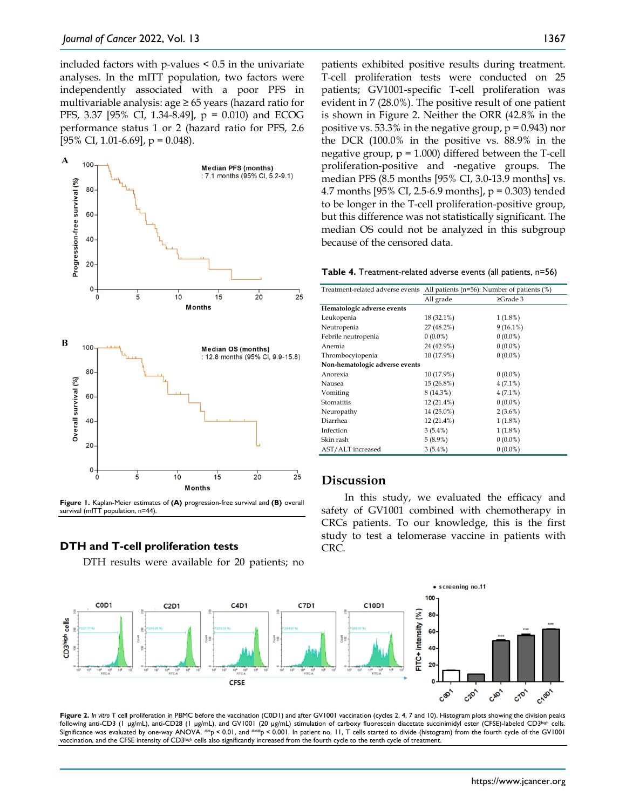included factors with p-values < 0.5 in the univariate analyses. In the mITT population, two factors were independently associated with a poor PFS in multivariable analysis: age ≥ 65 years (hazard ratio for PFS, 3.37 [95% CI, 1.34-8.49], p = 0.010) and ECOG performance status 1 or 2 (hazard ratio for PFS, 2.6 [95% CI, 1.01-6.69],  $p = 0.048$ ).



**Figure 1.** Kaplan-Meier estimates of **(A)** progression-free survival and **(B)** overall survival (mITT population, n=44).

#### **DTH and T-cell proliferation tests**

DTH results were available for 20 patients; no

patients exhibited positive results during treatment. T-cell proliferation tests were conducted on 25 patients; GV1001-specific T-cell proliferation was evident in 7 (28.0%). The positive result of one patient is shown in Figure 2. Neither the ORR (42.8% in the positive vs. 53.3% in the negative group,  $p = 0.943$ ) nor the DCR (100.0% in the positive vs. 88.9% in the negative group,  $p = 1.000$ ) differed between the T-cell proliferation-positive and -negative groups. The median PFS (8.5 months [95% CI, 3.0-13.9 months] vs. 4.7 months [95% CI, 2.5-6.9 months], p = 0.303) tended to be longer in the T-cell proliferation-positive group, but this difference was not statistically significant. The median OS could not be analyzed in this subgroup because of the censored data.

**Table 4.** Treatment-related adverse events (all patients, n=56)

| Treatment-related adverse events | All patients ( $n=56$ ): Number of patients (%) |                |
|----------------------------------|-------------------------------------------------|----------------|
|                                  | All grade                                       | $\geq$ Grade 3 |
| Hematologic adverse events       |                                                 |                |
| Leukopenia                       | 18 (32.1%)                                      | $1(1.8\%)$     |
| Neutropenia                      | 27 (48.2%)                                      | $9(16.1\%)$    |
| Febrile neutropenia              | $0(0.0\%)$                                      | $0(0.0\%)$     |
| Anemia                           | 24 (42.9%)                                      | $0(0.0\%)$     |
| Thrombocytopenia                 | 10 (17.9%)                                      | $0(0.0\%)$     |
| Non-hematologic adverse events   |                                                 |                |
| Anorexia                         | 10 (17.9%)                                      | $0(0.0\%)$     |
| Nausea                           | 15 (26.8%)                                      | $4(7.1\%)$     |
| Vomiting                         | 8 (14.3%)                                       | $4(7.1\%)$     |
| Stomatitis                       | $12(21.4\%)$                                    | $0(0.0\%)$     |
| Neuropathy                       | 14 (25.0%)                                      | $2(3.6\%)$     |
| Diarrhea                         | 12 (21.4%)                                      | 1(1.8%)        |
| Infection                        | $3(5.4\%)$                                      | 1(1.8%)        |
| Skin rash                        | $5(8.9\%)$                                      | $0(0.0\%)$     |
| AST/ALT increased                | $3(5.4\%)$                                      | $0(0.0\%)$     |

## **Discussion**

In this study, we evaluated the efficacy and safety of GV1001 combined with chemotherapy in CRCs patients. To our knowledge, this is the first study to test a telomerase vaccine in patients with CRC.



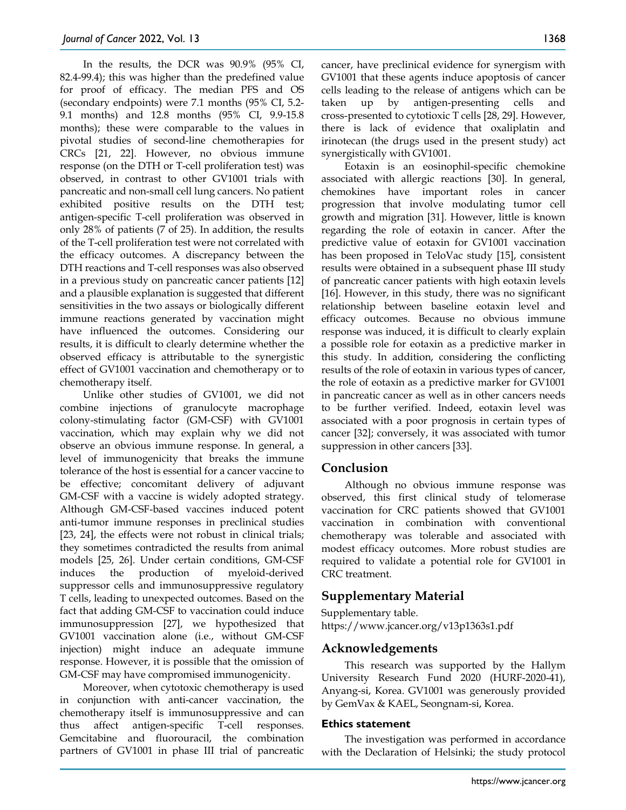In the results, the DCR was 90.9% (95% CI, 82.4-99.4); this was higher than the predefined value for proof of efficacy. The median PFS and OS (secondary endpoints) were 7.1 months (95% CI, 5.2- 9.1 months) and 12.8 months (95% CI, 9.9-15.8 months); these were comparable to the values in pivotal studies of second-line chemotherapies for CRCs [21, 22]. However, no obvious immune response (on the DTH or T-cell proliferation test) was observed, in contrast to other GV1001 trials with pancreatic and non-small cell lung cancers. No patient exhibited positive results on the DTH test; antigen-specific T-cell proliferation was observed in only 28% of patients (7 of 25). In addition, the results of the T-cell proliferation test were not correlated with the efficacy outcomes. A discrepancy between the DTH reactions and T-cell responses was also observed in a previous study on pancreatic cancer patients [12] and a plausible explanation is suggested that different sensitivities in the two assays or biologically different immune reactions generated by vaccination might have influenced the outcomes. Considering our results, it is difficult to clearly determine whether the observed efficacy is attributable to the synergistic effect of GV1001 vaccination and chemotherapy or to chemotherapy itself.

Unlike other studies of GV1001, we did not combine injections of granulocyte macrophage colony-stimulating factor (GM-CSF) with GV1001 vaccination, which may explain why we did not observe an obvious immune response. In general, a level of immunogenicity that breaks the immune tolerance of the host is essential for a cancer vaccine to be effective; concomitant delivery of adjuvant GM-CSF with a vaccine is widely adopted strategy. Although GM-CSF-based vaccines induced potent anti-tumor immune responses in preclinical studies [23, 24], the effects were not robust in clinical trials; they sometimes contradicted the results from animal models [25, 26]. Under certain conditions, GM-CSF induces the production of myeloid-derived suppressor cells and immunosuppressive regulatory T cells, leading to unexpected outcomes. Based on the fact that adding GM-CSF to vaccination could induce immunosuppression [27], we hypothesized that GV1001 vaccination alone (i.e., without GM-CSF injection) might induce an adequate immune response. However, it is possible that the omission of GM-CSF may have compromised immunogenicity.

Moreover, when cytotoxic chemotherapy is used in conjunction with anti-cancer vaccination, the chemotherapy itself is immunosuppressive and can thus affect antigen-specific T-cell responses. Gemcitabine and fluorouracil, the combination partners of GV1001 in phase III trial of pancreatic

cancer, have preclinical evidence for synergism with GV1001 that these agents induce apoptosis of cancer cells leading to the release of antigens which can be taken up by antigen-presenting cells and cross-presented to cytotioxic T cells [28, 29]. However, there is lack of evidence that oxaliplatin and irinotecan (the drugs used in the present study) act synergistically with GV1001.

Eotaxin is an eosinophil-specific chemokine associated with allergic reactions [30]. In general, chemokines have important roles in cancer progression that involve modulating tumor cell growth and migration [31]. However, little is known regarding the role of eotaxin in cancer. After the predictive value of eotaxin for GV1001 vaccination has been proposed in TeloVac study [15], consistent results were obtained in a subsequent phase III study of pancreatic cancer patients with high eotaxin levels [16]. However, in this study, there was no significant relationship between baseline eotaxin level and efficacy outcomes. Because no obvious immune response was induced, it is difficult to clearly explain a possible role for eotaxin as a predictive marker in this study. In addition, considering the conflicting results of the role of eotaxin in various types of cancer, the role of eotaxin as a predictive marker for GV1001 in pancreatic cancer as well as in other cancers needs to be further verified. Indeed, eotaxin level was associated with a poor prognosis in certain types of cancer [32]; conversely, it was associated with tumor suppression in other cancers [33].

# **Conclusion**

Although no obvious immune response was observed, this first clinical study of telomerase vaccination for CRC patients showed that GV1001 vaccination in combination with conventional chemotherapy was tolerable and associated with modest efficacy outcomes. More robust studies are required to validate a potential role for GV1001 in CRC treatment.

# **Supplementary Material**

Supplementary table. https://www.jcancer.org/v13p1363s1.pdf

# **Acknowledgements**

This research was supported by the Hallym University Research Fund 2020 (HURF-2020-41), Anyang-si, Korea. GV1001 was generously provided by GemVax & KAEL, Seongnam-si, Korea.

#### **Ethics statement**

The investigation was performed in accordance with the Declaration of Helsinki; the study protocol